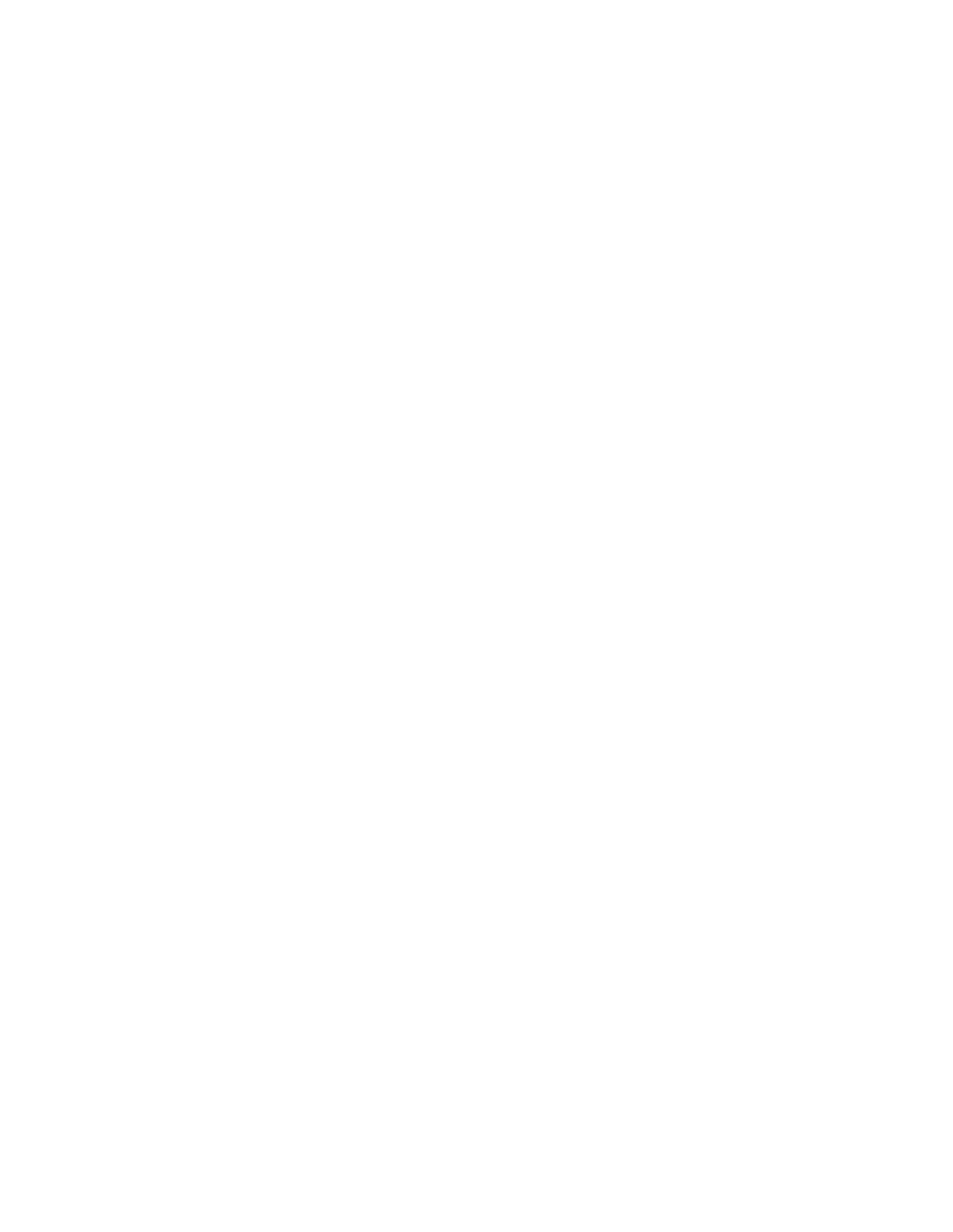# **UCLA** Statement of Legal Residence

| <b>INSTRUCTIONS</b>                                                                                                                                                                                                                                                         |                                              |                         |                                                                                                                       |           | <b>DEPUTY USE ONLY</b>                                           |                                                      |
|-----------------------------------------------------------------------------------------------------------------------------------------------------------------------------------------------------------------------------------------------------------------------------|----------------------------------------------|-------------------------|-----------------------------------------------------------------------------------------------------------------------|-----------|------------------------------------------------------------------|------------------------------------------------------|
| All students-resident and nonresident-must complete this Statement of Legal<br>Residence. A digital or ink signature and date are required. Failure to complete this state-                                                                                                 |                                              |                         |                                                                                                                       |           | □ Resident<br>$\Box$ Nonresident                                 | ARC<br>$\Box$ DL                                     |
|                                                                                                                                                                                                                                                                             |                                              |                         |                                                                                                                       |           | <b>NRN Sent</b>                                                  | $\Box$ VR                                            |
| ment will delay the assessment of registration fees. New and re-admitted graduate, under-                                                                                                                                                                                   |                                              | $\Box$ VEH R            |                                                                                                                       |           |                                                                  |                                                      |
| graduate, and professional students must return this form to the UCLA Registrar's Office by                                                                                                                                                                                 | By<br>Date                                   | $\Box$ Ba<br>$\Box$ PAC |                                                                                                                       |           |                                                                  |                                                      |
| e-mail to the residence deputy; by mail to Box 951429, Los Angeles, CA 90095-1429; or in<br>person at 1113 Murphy Hall. Refer to the attached information document to learn more about                                                                                      | ID#                                          | $\Box$ PAE              |                                                                                                                       |           |                                                                  |                                                      |
| residence for tuition purposes.                                                                                                                                                                                                                                             | Hold<br>Released                             | $\Box$ TXS<br>$\Box$ ta |                                                                                                                       |           |                                                                  |                                                      |
|                                                                                                                                                                                                                                                                             |                                              |                         |                                                                                                                       |           |                                                                  | $\Box$ EXP ABS                                       |
| <b>Registration status</b> □New<br>$\Box$ Re-entering<br>For term beginning □ Fall 20 <u>eneral</u> DWinter 20 energy DSpring 20 energy DSummer 20 energy                                                                                                                   |                                              |                         |                                                                                                                       |           | Notes                                                            | $\Box$ PP<br>$\Box$ MV                               |
| Print full name (Last, First Middle)                                                                                                                                                                                                                                        |                                              |                         |                                                                                                                       |           | <b>Birthdate</b>                                                 | Age                                                  |
|                                                                                                                                                                                                                                                                             |                                              |                         |                                                                                                                       |           |                                                                  |                                                      |
| Present mailling address (number, street, city, state, ZIP)                                                                                                                                                                                                                 |                                              |                         |                                                                                                                       |           |                                                                  |                                                      |
| Permanent residence (number, street, city, state, ZIP)                                                                                                                                                                                                                      |                                              |                         |                                                                                                                       |           |                                                                  |                                                      |
| Did you attend two years at a California community college and/or adult                                                                                                                                                                                                     |                                              |                         |                                                                                                                       |           | Do you have a driver's license? $\Box$ Yes                       | ∣ No                                                 |
| school in California?                                                                                                                                                                                                                                                       |                                              |                         | l Yes                                                                                                                 | l I No    |                                                                  |                                                      |
| Did you graduate from a California high school and complete the equivalent<br>of three years' worth of high-school credit in California?                                                                                                                                    |                                              |                         | l Yes                                                                                                                 | - No      |                                                                  |                                                      |
| Do you claim to be a resident of California?*                                                                                                                                                                                                                               |                                              |                         | Yes                                                                                                                   | ∏ No      | Last renewed <b>Example 2008</b>                                 |                                                      |
| Are you a citizen of the United States?                                                                                                                                                                                                                                     |                                              |                         | Yes                                                                                                                   | $\Box$ No | If a nondriver, do you have a                                    | California identification card? $\Box$ Yes $\Box$ No |
| If no, have you been awarded permanent residence?                                                                                                                                                                                                                           |                                              |                         | l Yes                                                                                                                 | l I No    |                                                                  |                                                      |
| If no, have you applied for permanent residence status?                                                                                                                                                                                                                     |                                              |                         | Yes                                                                                                                   | l INo     | Do you have a motor vehicle? $\Box$ Yes $\Box$ No                |                                                      |
| If your permanent residence application is pending, is your current<br>status valid?<br>$\Box$ Yes<br>□ No                                                                                                                                                                  |                                              |                         |                                                                                                                       |           |                                                                  |                                                      |
|                                                                                                                                                                                                                                                                             |                                              |                         |                                                                                                                       |           |                                                                  |                                                      |
| *You must submit verification of your status in the U.S. if you are a noncitizen claiming California residence, i.e., copy of<br>your alien registration card (front and back).                                                                                             |                                              |                         |                                                                                                                       |           | Are you registered to vote? $\Box$ Yes                           | ⊟ No                                                 |
| Dates of Physical Presence in California                                                                                                                                                                                                                                    |                                              |                         |                                                                                                                       |           |                                                                  |                                                      |
| $\begin{array}{c}\n\text{from } \underline{\hspace{1cm}} \text{to} \\ \end{array}$                                                                                                                                                                                          |                                              |                         | $\sqrt{2}$ Continuously since birth<br>$from \_\_\_\_\_\_$ to $\_\_\_\_\_\_$                                          |           |                                                                  |                                                      |
| If you claim California residence but have been absent from the state for more than six weeks during the<br>last 12 months, please attach a statement regarding your absence.                                                                                               | Have you voted within the last<br>15 months? | $\Box$ Yes<br>$\Box$ No |                                                                                                                       |           |                                                                  |                                                      |
| <b>Financial Information</b>                                                                                                                                                                                                                                                | Last Calendar Year (2020)                    |                         | This Calendar Year (2021)                                                                                             |           | If yes, in which state ___________ date__________                |                                                      |
| What is your source of financial support?                                                                                                                                                                                                                                   |                                              |                         |                                                                                                                       |           |                                                                  |                                                      |
| Did/will you file a California RESIDENT income                                                                                                                                                                                                                              |                                              |                         |                                                                                                                       |           | <b>Bank Accounts</b>                                             |                                                      |
| tax return?<br>Did/will you file a RESIDENT income tax return                                                                                                                                                                                                               | Yes                                          | ∣No                     | l Yes                                                                                                                 | l No      | Checking State_________ Date established<br>Savings<br>State____ | Date established                                     |
| in another state?                                                                                                                                                                                                                                                           | Yes                                          | $\Box$ No               | ∐ Yes                                                                                                                 | $\Box$ No |                                                                  |                                                      |
| If yes, state                                                                                                                                                                                                                                                               |                                              |                         |                                                                                                                       |           | <b>Marital Status</b>                                            |                                                      |
| <b>Employment Status</b>                                                                                                                                                                                                                                                    |                                              |                         |                                                                                                                       |           |                                                                  |                                                      |
| Worked in California                                                                                                                                                                                                                                                        | $\Box$ Yes                                   | $\Box$ No               | ∣ Yes                                                                                                                 | $\Box$ No | If divorced, state ____________ date _________                   |                                                      |
| Worked outside California<br>Did you receive loans, scholarships, or benefits                                                                                                                                                                                               | $\Box$ Yes                                   | $\Box$ No               | Yes                                                                                                                   | $\Box$ No | If registered domestic partnership,                              |                                                      |
| that required residence outside California?                                                                                                                                                                                                                                 | $\Box$ Yes                                   | $\Box$ No               | $\Box$ Yes                                                                                                            | $\Box$ No |                                                                  |                                                      |
|                                                                                                                                                                                                                                                                             |                                              |                         |                                                                                                                       |           | What state do you regard as your permanent                       |                                                      |
| All Colleges or Universities Attended                                                                                                                                                                                                                                       |                                              |                         |                                                                                                                       |           |                                                                  |                                                      |
| From<br>Name of School<br>State<br>To                                                                                                                                                                                                                                       |                                              |                         |                                                                                                                       |           |                                                                  |                                                      |
|                                                                                                                                                                                                                                                                             |                                              |                         | <u> 1980 - Jan Samuel Barbara, martin a shekara 1980 - An tsara 1980 - An tsara 1980 - An tsara 1980 - An tsara 1</u> |           | Do you plan to remain in                                         |                                                      |
|                                                                                                                                                                                                                                                                             |                                              |                         |                                                                                                                       |           | California after completing                                      |                                                      |
| If you claim to be a resident of California and are/were attending a public school outside of California within the last two years,<br>please have the school send a letter stating your residence status for tuition purposes and your permanent address on their records. |                                              |                         |                                                                                                                       |           | your education?                                                  | ∐ Yes<br>l I No                                      |
| <b>Military Service</b>                                                                                                                                                                                                                                                     | Student                                      |                         | Spouse/Partner                                                                                                        |           | Parent                                                           | <b>Signature</b>                                     |
| Are you, your spouse, or registered domestic<br>partner currently on active duty in the U.S. Military? □ Yes                                                                                                                                                                |                                              | $\Box$ No               | Nes                                                                                                                   | $\Box$ No | $\Box$ No<br>$\Box$ Yes                                          |                                                      |
| If yes, state of legal residence                                                                                                                                                                                                                                            |                                              |                         |                                                                                                                       |           |                                                                  | <b>Required</b>                                      |
| Are you, your spouse, or registered domestic                                                                                                                                                                                                                                |                                              |                         |                                                                                                                       |           |                                                                  | on Page 2                                            |
| partner a veteran of the U.S. Military?                                                                                                                                                                                                                                     | ∐ Yes                                        | $\Box$ No               | Nes                                                                                                                   | $\Box$ No |                                                                  |                                                      |
| If yes, provide date of separation                                                                                                                                                                                                                                          |                                              |                         |                                                                                                                       |           |                                                                  | 008SLR 012921                                        |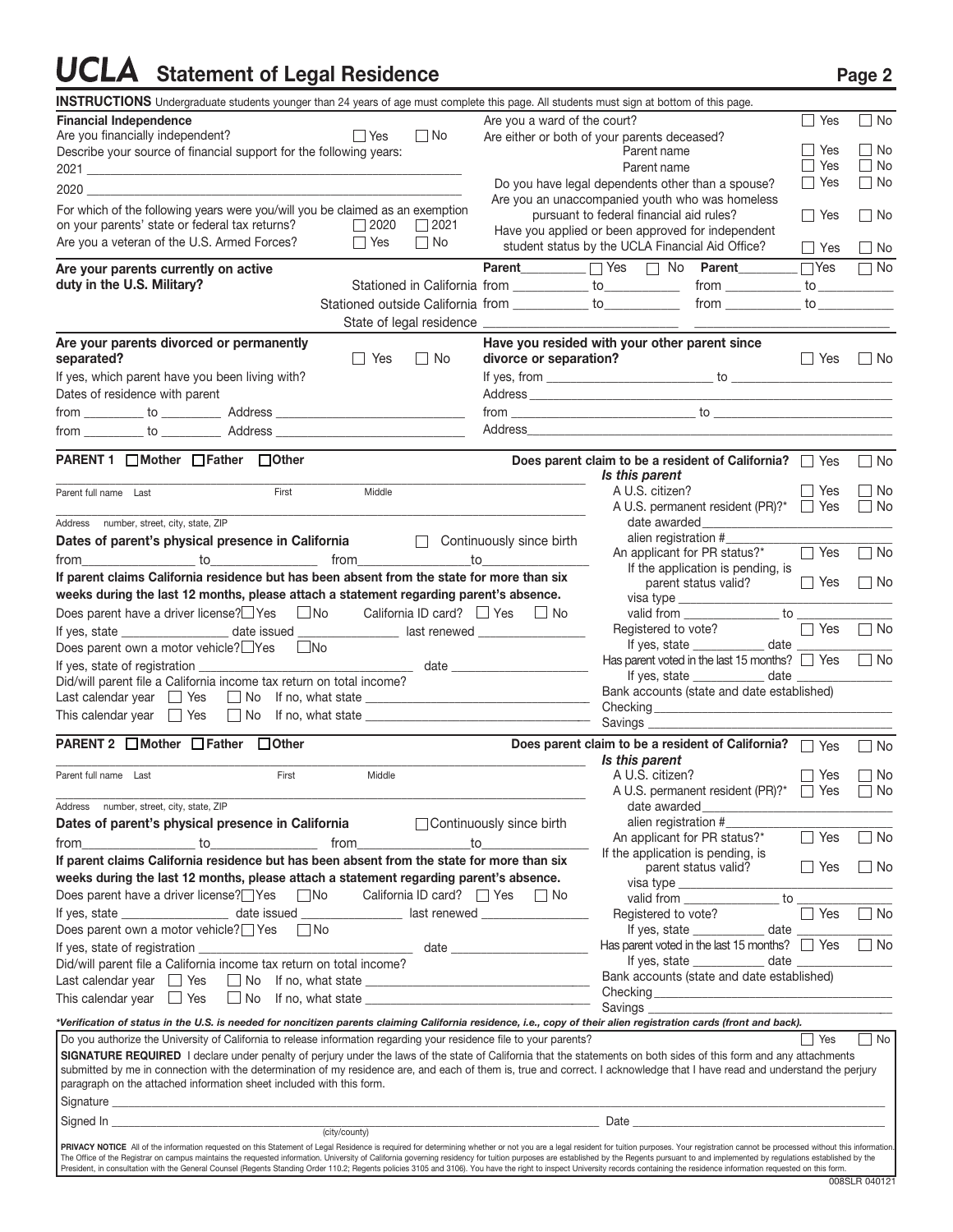## **UCLA** Statement of Legal Residence Page 2

| <b>Financial Independence</b><br>Are you a ward of the court?<br>Yes<br>∃ No<br>$\Box$<br>Are you financially independent?<br>$\Box$ Yes<br>$\Box$ No<br>Are either or both of your parents deceased?<br>$\Box$ Yes<br>$\Box$ No<br>Describe your source of financial support for the following years:<br>Parent name<br>$\Box$ Yes<br>∣ ∣No<br>Parent name<br>$\Box$ Yes<br>$\Box$ No<br>Do you have legal dependents other than a spouse?<br>Are you an unaccompanied youth who was homeless<br>For which of the following years were you/will you be claimed as an exemption<br>pursuant to federal financial aid rules?<br>l Yes<br>  No<br>on your parents' state or federal tax returns?<br>$\Box$ 2020<br>$\Box$ 2021<br>Have you applied or been approved for independent<br>Are you a veteran of the U.S. Armed Forces?<br>$\Box$ No<br>  Yes<br>student status by the UCLA Financial Aid Office?<br>$\Box$ Yes<br>$\Box$ No<br>Parent_________   Yes   No Parent_<br>$\_$ $\Box$ Yes<br>Are your parents currently on active<br>duty in the U.S. Military?<br>Stationed in California from ___________ to__________<br>Stationed outside California from ___________ to___________<br>$from$ $\_\_\_\_\_$ to $\_\_\_\_\_\_\_\_$<br>Are your parents divorced or permanently<br>Have you resided with your other parent since<br>$\Box$ Yes<br>$\Box$ No<br>divorce or separation?<br>$\Box$ Yes<br>separated?<br>If yes, which parent have you been living with?<br>Dates of residence with parent<br>PARENT 1 OMother OFather Oother<br>Does parent claim to be a resident of California? $\Box$ Yes<br>Is this parent<br>A U.S. citizen?<br>l Yes<br>∣∣No<br>Parent full name Last<br>First<br>Middle<br>A U.S. permanent resident (PR)?*  Simular Ves<br>Address number, street, city, state, ZIP<br>alien registration #<br>Dates of parent's physical presence in California<br>Continuously since birth<br>An applicant for PR status?*<br>l Yes<br>from to to from to from<br>to the contract of the contract of the contract of the contract of the contract of the contract of the contract of the contract of the contract of the contract of the contract of the contract of the contract of the contrac<br>If the application is pending, is<br>If parent claims California residence but has been absent from the state for more than six<br>$\Box$ Yes<br>$\Box$ No<br>parent status valid?<br>weeks during the last 12 months, please attach a statement regarding parent's absence.<br>visa type ___________________<br>Does parent have a driver license? $\Box$ Yes $\Box$ No California ID card? $\Box$ Yes $\Box$ No<br>valid from _________________ to _<br>$\Box$ Yes<br>Registered to vote?<br>date issued<br>__________________ last renewed __________________<br>If yes, state _____________ date ___<br>Does parent own a motor vehicle? $\Box$ Yes $\Box$ No<br>If yes, state of registration<br>Did/will parent file a California income tax return on total income?<br>Bank accounts (state and date established)<br>Last calendar year Stress Street Program of the U.S. Contract Program of the U.S. Contract Program of the U.S<br>This calendar year $\Box$ Yes $\Box$ No If no, what state ___________________________<br>Savings<br>PARENT 2 ■ Mother ■ Father ■ Other<br>Does parent claim to be a resident of California? $\Box$ Yes<br>Is this parent<br>First<br>Middle<br>A U.S. citizen?<br>$\Box$ Yes<br>Parent full name Last<br>$\lceil \rfloor$ No<br>Address number, street, city, state, ZIP<br>date awarded <b>contract to the set of the set of the set of the set of the set of the set of the set of the set of the set of the set of the set of the set of the set of the set of the set of the set of the set of the set o</b><br>alien registration #<br>Dates of parent's physical presence in California<br>Continuously since birth<br>An applicant for PR status?*<br>$\Box$ Yes<br>$\Box$ No<br>$from$ to to the to-<br>from<br>$\overline{\phantom{a}}$ to $\overline{\phantom{a}}$<br>If the application is pending, is<br>If parent claims California residence but has been absent from the state for more than six<br>$\Box$ Yes<br>parent status valid?<br>∐ No<br>weeks during the last 12 months, please attach a statement regarding parent's absence.<br>visa type ________________<br>Does parent have a driver license? Yes<br>California ID card? □ Yes<br><b>No</b><br>l I No<br>to<br>valid from<br>If yes, state ____________________ date issued _________________ last renewed _____________<br>$\Box$ Yes<br>Registered to vote?<br>Does parent own a motor vehicle? T Yes<br>$\square$ No<br>If yes, state ___________ date _<br>$\Box$ No<br>Has parent voted in the last 15 months? $\Box$ Yes<br>If yes, state _____________ date ___<br>Did/will parent file a California income tax return on total income?<br>Bank accounts (state and date established)<br>Last calendar year Stress Company No If no, what state <u>Company Company Company Company Company Company Company</u><br>This calendar year $\Box$ Yes<br>No If no, what state the state that the state of the state of the state of the state of the state of the state<br>Savings ___________<br>*Verification of status in the U.S. is needed for noncitizen parents claiming California residence, i.e., copy of their alien registration cards (front and back).<br>Do you authorize the University of California to release information regarding your residence file to your parents?<br>  Yes<br>  No<br>SIGNATURE REQUIRED I declare under penalty of perjury under the laws of the state of California that the statements on both sides of this form and any attachments<br>submitted by me in connection with the determination of my residence are, and each of them is, true and correct. I acknowledge that I have read and understand the perjury<br>paragraph on the attached information sheet included with this form.<br>Signed In<br>Date<br>(city/county)<br>The Office of the Registrar on campus maintains the requested information. University of California governing residency for tuition purposes are established by the Regents pursuant to and implemented by regulations establi<br>President, in consultation with the General Counsel (Regents Standing Order 110.2; Regents policies 3105 and 3106). You have the right to inspect University records containing the residence information requested on this fo | INSTRUCTIONS Undergraduate students younger than 24 years of age must complete this page. All students must sign at bottom of this page. |  |  |  |
|-----------------------------------------------------------------------------------------------------------------------------------------------------------------------------------------------------------------------------------------------------------------------------------------------------------------------------------------------------------------------------------------------------------------------------------------------------------------------------------------------------------------------------------------------------------------------------------------------------------------------------------------------------------------------------------------------------------------------------------------------------------------------------------------------------------------------------------------------------------------------------------------------------------------------------------------------------------------------------------------------------------------------------------------------------------------------------------------------------------------------------------------------------------------------------------------------------------------------------------------------------------------------------------------------------------------------------------------------------------------------------------------------------------------------------------------------------------------------------------------------------------------------------------------------------------------------------------------------------------------------------------------------------------------------------------------------------------------------------------------------------------------------------------------------------------------------------------------------------------------------------------------------------------------------------------------------------------------------------------------------------------------------------------------------------------------------------------------------------------------------------------------------------------------------------------------------------------------------------------------------------------------------------------------------------------------------------------------------------------------------------------------------------------------------------------------------------------------------------------------------------------------------------------------------------------------------------------------------------------------------------------------------------------------------------------------------------------------------------------------------------------------------------------------------------------------------------------------------------------------------------------------------------------------------------------------------------------------------------------------------------------------------------------------------------------------------------------------------------------------------------------------------------------------------------------------------------------------------------------------------------------------------------------------------------------------------------------------------------------------------------------------------------------------------------------------------------------------------------------------------------------------------------------------------------------------------------------------------------------------------------------------------------------------------------------------------------------------------------------------------------------------------------------------------------------------------------------------------------------------------------------------------------------------------------------------------------------------------------------------------------------------------------------------------------------------------------------------------------------------------------------------------------------------------------------------------------------------------------------------------------------------------------------------------------------------------------------------------------------------------------------------------------------------------------------------------------------------------------------------------------------------------------------------------------------------------------------------------------------------------------------------------------------------------------------------------------------------------------------------------------------------------------------------------------------------------------------------------------------------------------------------------------------------------------------------------------------------------------------------------------------------------------------------------------------------------------------------------------------------------------------------------------------------------------------------------------------------------------------------------------------------------------------------------------------------------------------------------------------------------------------------------------------------------------------------------------------------------------------------------------------------------------------------------------------------------------------------------------------------------------------------------------------------------------------------------------------------------------------------------------------------------------------------------------------------------------------------------------------------------------------------------------------------------------------------------------------------------------------------------------------------------------------------------------------------------------------------------------------------------------------------------------------------------------------------------------------------------------------------------------------------------------------------------------------------------------------------------------------------------------------------------------------------------------------------------------------------------------------------------------------------|------------------------------------------------------------------------------------------------------------------------------------------|--|--|--|
|                                                                                                                                                                                                                                                                                                                                                                                                                                                                                                                                                                                                                                                                                                                                                                                                                                                                                                                                                                                                                                                                                                                                                                                                                                                                                                                                                                                                                                                                                                                                                                                                                                                                                                                                                                                                                                                                                                                                                                                                                                                                                                                                                                                                                                                                                                                                                                                                                                                                                                                                                                                                                                                                                                                                                                                                                                                                                                                                                                                                                                                                                                                                                                                                                                                                                                                                                                                                                                                                                                                                                                                                                                                                                                                                                                                                                                                                                                                                                                                                                                                                                                                                                                                                                                                                                                                                                                                                                                                                                                                                                                                                                                                                                                                                                                                                                                                                                                                                                                                                                                                                                                                                                                                                                                                                                                                                                                                                                                                                                                                                                                                                                                                                                                                                                                                                                                                                                                                                                                                                                                                                                                                                                                                                                                                                                                                                                                                                                                                                                                                 |                                                                                                                                          |  |  |  |
|                                                                                                                                                                                                                                                                                                                                                                                                                                                                                                                                                                                                                                                                                                                                                                                                                                                                                                                                                                                                                                                                                                                                                                                                                                                                                                                                                                                                                                                                                                                                                                                                                                                                                                                                                                                                                                                                                                                                                                                                                                                                                                                                                                                                                                                                                                                                                                                                                                                                                                                                                                                                                                                                                                                                                                                                                                                                                                                                                                                                                                                                                                                                                                                                                                                                                                                                                                                                                                                                                                                                                                                                                                                                                                                                                                                                                                                                                                                                                                                                                                                                                                                                                                                                                                                                                                                                                                                                                                                                                                                                                                                                                                                                                                                                                                                                                                                                                                                                                                                                                                                                                                                                                                                                                                                                                                                                                                                                                                                                                                                                                                                                                                                                                                                                                                                                                                                                                                                                                                                                                                                                                                                                                                                                                                                                                                                                                                                                                                                                                                                 |                                                                                                                                          |  |  |  |
| $\Box$ No<br>$\Box$ No<br>$\Box$ No<br>$\Box$ No<br>$\Box$ No<br>□ No<br>Has parent voted in the last 15 months? $\Box$ Yes $\Box$ No<br>$\Box$ No<br>A U.S. permanent resident (PR)?* $\Box$ Yes $\Box$ No<br>$\Box$ No                                                                                                                                                                                                                                                                                                                                                                                                                                                                                                                                                                                                                                                                                                                                                                                                                                                                                                                                                                                                                                                                                                                                                                                                                                                                                                                                                                                                                                                                                                                                                                                                                                                                                                                                                                                                                                                                                                                                                                                                                                                                                                                                                                                                                                                                                                                                                                                                                                                                                                                                                                                                                                                                                                                                                                                                                                                                                                                                                                                                                                                                                                                                                                                                                                                                                                                                                                                                                                                                                                                                                                                                                                                                                                                                                                                                                                                                                                                                                                                                                                                                                                                                                                                                                                                                                                                                                                                                                                                                                                                                                                                                                                                                                                                                                                                                                                                                                                                                                                                                                                                                                                                                                                                                                                                                                                                                                                                                                                                                                                                                                                                                                                                                                                                                                                                                                                                                                                                                                                                                                                                                                                                                                                                                                                                                                        |                                                                                                                                          |  |  |  |
|                                                                                                                                                                                                                                                                                                                                                                                                                                                                                                                                                                                                                                                                                                                                                                                                                                                                                                                                                                                                                                                                                                                                                                                                                                                                                                                                                                                                                                                                                                                                                                                                                                                                                                                                                                                                                                                                                                                                                                                                                                                                                                                                                                                                                                                                                                                                                                                                                                                                                                                                                                                                                                                                                                                                                                                                                                                                                                                                                                                                                                                                                                                                                                                                                                                                                                                                                                                                                                                                                                                                                                                                                                                                                                                                                                                                                                                                                                                                                                                                                                                                                                                                                                                                                                                                                                                                                                                                                                                                                                                                                                                                                                                                                                                                                                                                                                                                                                                                                                                                                                                                                                                                                                                                                                                                                                                                                                                                                                                                                                                                                                                                                                                                                                                                                                                                                                                                                                                                                                                                                                                                                                                                                                                                                                                                                                                                                                                                                                                                                                                 |                                                                                                                                          |  |  |  |
|                                                                                                                                                                                                                                                                                                                                                                                                                                                                                                                                                                                                                                                                                                                                                                                                                                                                                                                                                                                                                                                                                                                                                                                                                                                                                                                                                                                                                                                                                                                                                                                                                                                                                                                                                                                                                                                                                                                                                                                                                                                                                                                                                                                                                                                                                                                                                                                                                                                                                                                                                                                                                                                                                                                                                                                                                                                                                                                                                                                                                                                                                                                                                                                                                                                                                                                                                                                                                                                                                                                                                                                                                                                                                                                                                                                                                                                                                                                                                                                                                                                                                                                                                                                                                                                                                                                                                                                                                                                                                                                                                                                                                                                                                                                                                                                                                                                                                                                                                                                                                                                                                                                                                                                                                                                                                                                                                                                                                                                                                                                                                                                                                                                                                                                                                                                                                                                                                                                                                                                                                                                                                                                                                                                                                                                                                                                                                                                                                                                                                                                 |                                                                                                                                          |  |  |  |
|                                                                                                                                                                                                                                                                                                                                                                                                                                                                                                                                                                                                                                                                                                                                                                                                                                                                                                                                                                                                                                                                                                                                                                                                                                                                                                                                                                                                                                                                                                                                                                                                                                                                                                                                                                                                                                                                                                                                                                                                                                                                                                                                                                                                                                                                                                                                                                                                                                                                                                                                                                                                                                                                                                                                                                                                                                                                                                                                                                                                                                                                                                                                                                                                                                                                                                                                                                                                                                                                                                                                                                                                                                                                                                                                                                                                                                                                                                                                                                                                                                                                                                                                                                                                                                                                                                                                                                                                                                                                                                                                                                                                                                                                                                                                                                                                                                                                                                                                                                                                                                                                                                                                                                                                                                                                                                                                                                                                                                                                                                                                                                                                                                                                                                                                                                                                                                                                                                                                                                                                                                                                                                                                                                                                                                                                                                                                                                                                                                                                                                                 |                                                                                                                                          |  |  |  |
|                                                                                                                                                                                                                                                                                                                                                                                                                                                                                                                                                                                                                                                                                                                                                                                                                                                                                                                                                                                                                                                                                                                                                                                                                                                                                                                                                                                                                                                                                                                                                                                                                                                                                                                                                                                                                                                                                                                                                                                                                                                                                                                                                                                                                                                                                                                                                                                                                                                                                                                                                                                                                                                                                                                                                                                                                                                                                                                                                                                                                                                                                                                                                                                                                                                                                                                                                                                                                                                                                                                                                                                                                                                                                                                                                                                                                                                                                                                                                                                                                                                                                                                                                                                                                                                                                                                                                                                                                                                                                                                                                                                                                                                                                                                                                                                                                                                                                                                                                                                                                                                                                                                                                                                                                                                                                                                                                                                                                                                                                                                                                                                                                                                                                                                                                                                                                                                                                                                                                                                                                                                                                                                                                                                                                                                                                                                                                                                                                                                                                                                 |                                                                                                                                          |  |  |  |
|                                                                                                                                                                                                                                                                                                                                                                                                                                                                                                                                                                                                                                                                                                                                                                                                                                                                                                                                                                                                                                                                                                                                                                                                                                                                                                                                                                                                                                                                                                                                                                                                                                                                                                                                                                                                                                                                                                                                                                                                                                                                                                                                                                                                                                                                                                                                                                                                                                                                                                                                                                                                                                                                                                                                                                                                                                                                                                                                                                                                                                                                                                                                                                                                                                                                                                                                                                                                                                                                                                                                                                                                                                                                                                                                                                                                                                                                                                                                                                                                                                                                                                                                                                                                                                                                                                                                                                                                                                                                                                                                                                                                                                                                                                                                                                                                                                                                                                                                                                                                                                                                                                                                                                                                                                                                                                                                                                                                                                                                                                                                                                                                                                                                                                                                                                                                                                                                                                                                                                                                                                                                                                                                                                                                                                                                                                                                                                                                                                                                                                                 |                                                                                                                                          |  |  |  |
|                                                                                                                                                                                                                                                                                                                                                                                                                                                                                                                                                                                                                                                                                                                                                                                                                                                                                                                                                                                                                                                                                                                                                                                                                                                                                                                                                                                                                                                                                                                                                                                                                                                                                                                                                                                                                                                                                                                                                                                                                                                                                                                                                                                                                                                                                                                                                                                                                                                                                                                                                                                                                                                                                                                                                                                                                                                                                                                                                                                                                                                                                                                                                                                                                                                                                                                                                                                                                                                                                                                                                                                                                                                                                                                                                                                                                                                                                                                                                                                                                                                                                                                                                                                                                                                                                                                                                                                                                                                                                                                                                                                                                                                                                                                                                                                                                                                                                                                                                                                                                                                                                                                                                                                                                                                                                                                                                                                                                                                                                                                                                                                                                                                                                                                                                                                                                                                                                                                                                                                                                                                                                                                                                                                                                                                                                                                                                                                                                                                                                                                 |                                                                                                                                          |  |  |  |
|                                                                                                                                                                                                                                                                                                                                                                                                                                                                                                                                                                                                                                                                                                                                                                                                                                                                                                                                                                                                                                                                                                                                                                                                                                                                                                                                                                                                                                                                                                                                                                                                                                                                                                                                                                                                                                                                                                                                                                                                                                                                                                                                                                                                                                                                                                                                                                                                                                                                                                                                                                                                                                                                                                                                                                                                                                                                                                                                                                                                                                                                                                                                                                                                                                                                                                                                                                                                                                                                                                                                                                                                                                                                                                                                                                                                                                                                                                                                                                                                                                                                                                                                                                                                                                                                                                                                                                                                                                                                                                                                                                                                                                                                                                                                                                                                                                                                                                                                                                                                                                                                                                                                                                                                                                                                                                                                                                                                                                                                                                                                                                                                                                                                                                                                                                                                                                                                                                                                                                                                                                                                                                                                                                                                                                                                                                                                                                                                                                                                                                                 |                                                                                                                                          |  |  |  |
|                                                                                                                                                                                                                                                                                                                                                                                                                                                                                                                                                                                                                                                                                                                                                                                                                                                                                                                                                                                                                                                                                                                                                                                                                                                                                                                                                                                                                                                                                                                                                                                                                                                                                                                                                                                                                                                                                                                                                                                                                                                                                                                                                                                                                                                                                                                                                                                                                                                                                                                                                                                                                                                                                                                                                                                                                                                                                                                                                                                                                                                                                                                                                                                                                                                                                                                                                                                                                                                                                                                                                                                                                                                                                                                                                                                                                                                                                                                                                                                                                                                                                                                                                                                                                                                                                                                                                                                                                                                                                                                                                                                                                                                                                                                                                                                                                                                                                                                                                                                                                                                                                                                                                                                                                                                                                                                                                                                                                                                                                                                                                                                                                                                                                                                                                                                                                                                                                                                                                                                                                                                                                                                                                                                                                                                                                                                                                                                                                                                                                                                 |                                                                                                                                          |  |  |  |
|                                                                                                                                                                                                                                                                                                                                                                                                                                                                                                                                                                                                                                                                                                                                                                                                                                                                                                                                                                                                                                                                                                                                                                                                                                                                                                                                                                                                                                                                                                                                                                                                                                                                                                                                                                                                                                                                                                                                                                                                                                                                                                                                                                                                                                                                                                                                                                                                                                                                                                                                                                                                                                                                                                                                                                                                                                                                                                                                                                                                                                                                                                                                                                                                                                                                                                                                                                                                                                                                                                                                                                                                                                                                                                                                                                                                                                                                                                                                                                                                                                                                                                                                                                                                                                                                                                                                                                                                                                                                                                                                                                                                                                                                                                                                                                                                                                                                                                                                                                                                                                                                                                                                                                                                                                                                                                                                                                                                                                                                                                                                                                                                                                                                                                                                                                                                                                                                                                                                                                                                                                                                                                                                                                                                                                                                                                                                                                                                                                                                                                                 |                                                                                                                                          |  |  |  |
|                                                                                                                                                                                                                                                                                                                                                                                                                                                                                                                                                                                                                                                                                                                                                                                                                                                                                                                                                                                                                                                                                                                                                                                                                                                                                                                                                                                                                                                                                                                                                                                                                                                                                                                                                                                                                                                                                                                                                                                                                                                                                                                                                                                                                                                                                                                                                                                                                                                                                                                                                                                                                                                                                                                                                                                                                                                                                                                                                                                                                                                                                                                                                                                                                                                                                                                                                                                                                                                                                                                                                                                                                                                                                                                                                                                                                                                                                                                                                                                                                                                                                                                                                                                                                                                                                                                                                                                                                                                                                                                                                                                                                                                                                                                                                                                                                                                                                                                                                                                                                                                                                                                                                                                                                                                                                                                                                                                                                                                                                                                                                                                                                                                                                                                                                                                                                                                                                                                                                                                                                                                                                                                                                                                                                                                                                                                                                                                                                                                                                                                 |                                                                                                                                          |  |  |  |
|                                                                                                                                                                                                                                                                                                                                                                                                                                                                                                                                                                                                                                                                                                                                                                                                                                                                                                                                                                                                                                                                                                                                                                                                                                                                                                                                                                                                                                                                                                                                                                                                                                                                                                                                                                                                                                                                                                                                                                                                                                                                                                                                                                                                                                                                                                                                                                                                                                                                                                                                                                                                                                                                                                                                                                                                                                                                                                                                                                                                                                                                                                                                                                                                                                                                                                                                                                                                                                                                                                                                                                                                                                                                                                                                                                                                                                                                                                                                                                                                                                                                                                                                                                                                                                                                                                                                                                                                                                                                                                                                                                                                                                                                                                                                                                                                                                                                                                                                                                                                                                                                                                                                                                                                                                                                                                                                                                                                                                                                                                                                                                                                                                                                                                                                                                                                                                                                                                                                                                                                                                                                                                                                                                                                                                                                                                                                                                                                                                                                                                                 |                                                                                                                                          |  |  |  |
|                                                                                                                                                                                                                                                                                                                                                                                                                                                                                                                                                                                                                                                                                                                                                                                                                                                                                                                                                                                                                                                                                                                                                                                                                                                                                                                                                                                                                                                                                                                                                                                                                                                                                                                                                                                                                                                                                                                                                                                                                                                                                                                                                                                                                                                                                                                                                                                                                                                                                                                                                                                                                                                                                                                                                                                                                                                                                                                                                                                                                                                                                                                                                                                                                                                                                                                                                                                                                                                                                                                                                                                                                                                                                                                                                                                                                                                                                                                                                                                                                                                                                                                                                                                                                                                                                                                                                                                                                                                                                                                                                                                                                                                                                                                                                                                                                                                                                                                                                                                                                                                                                                                                                                                                                                                                                                                                                                                                                                                                                                                                                                                                                                                                                                                                                                                                                                                                                                                                                                                                                                                                                                                                                                                                                                                                                                                                                                                                                                                                                                                 |                                                                                                                                          |  |  |  |
|                                                                                                                                                                                                                                                                                                                                                                                                                                                                                                                                                                                                                                                                                                                                                                                                                                                                                                                                                                                                                                                                                                                                                                                                                                                                                                                                                                                                                                                                                                                                                                                                                                                                                                                                                                                                                                                                                                                                                                                                                                                                                                                                                                                                                                                                                                                                                                                                                                                                                                                                                                                                                                                                                                                                                                                                                                                                                                                                                                                                                                                                                                                                                                                                                                                                                                                                                                                                                                                                                                                                                                                                                                                                                                                                                                                                                                                                                                                                                                                                                                                                                                                                                                                                                                                                                                                                                                                                                                                                                                                                                                                                                                                                                                                                                                                                                                                                                                                                                                                                                                                                                                                                                                                                                                                                                                                                                                                                                                                                                                                                                                                                                                                                                                                                                                                                                                                                                                                                                                                                                                                                                                                                                                                                                                                                                                                                                                                                                                                                                                                 |                                                                                                                                          |  |  |  |
|                                                                                                                                                                                                                                                                                                                                                                                                                                                                                                                                                                                                                                                                                                                                                                                                                                                                                                                                                                                                                                                                                                                                                                                                                                                                                                                                                                                                                                                                                                                                                                                                                                                                                                                                                                                                                                                                                                                                                                                                                                                                                                                                                                                                                                                                                                                                                                                                                                                                                                                                                                                                                                                                                                                                                                                                                                                                                                                                                                                                                                                                                                                                                                                                                                                                                                                                                                                                                                                                                                                                                                                                                                                                                                                                                                                                                                                                                                                                                                                                                                                                                                                                                                                                                                                                                                                                                                                                                                                                                                                                                                                                                                                                                                                                                                                                                                                                                                                                                                                                                                                                                                                                                                                                                                                                                                                                                                                                                                                                                                                                                                                                                                                                                                                                                                                                                                                                                                                                                                                                                                                                                                                                                                                                                                                                                                                                                                                                                                                                                                                 |                                                                                                                                          |  |  |  |
|                                                                                                                                                                                                                                                                                                                                                                                                                                                                                                                                                                                                                                                                                                                                                                                                                                                                                                                                                                                                                                                                                                                                                                                                                                                                                                                                                                                                                                                                                                                                                                                                                                                                                                                                                                                                                                                                                                                                                                                                                                                                                                                                                                                                                                                                                                                                                                                                                                                                                                                                                                                                                                                                                                                                                                                                                                                                                                                                                                                                                                                                                                                                                                                                                                                                                                                                                                                                                                                                                                                                                                                                                                                                                                                                                                                                                                                                                                                                                                                                                                                                                                                                                                                                                                                                                                                                                                                                                                                                                                                                                                                                                                                                                                                                                                                                                                                                                                                                                                                                                                                                                                                                                                                                                                                                                                                                                                                                                                                                                                                                                                                                                                                                                                                                                                                                                                                                                                                                                                                                                                                                                                                                                                                                                                                                                                                                                                                                                                                                                                                 |                                                                                                                                          |  |  |  |
|                                                                                                                                                                                                                                                                                                                                                                                                                                                                                                                                                                                                                                                                                                                                                                                                                                                                                                                                                                                                                                                                                                                                                                                                                                                                                                                                                                                                                                                                                                                                                                                                                                                                                                                                                                                                                                                                                                                                                                                                                                                                                                                                                                                                                                                                                                                                                                                                                                                                                                                                                                                                                                                                                                                                                                                                                                                                                                                                                                                                                                                                                                                                                                                                                                                                                                                                                                                                                                                                                                                                                                                                                                                                                                                                                                                                                                                                                                                                                                                                                                                                                                                                                                                                                                                                                                                                                                                                                                                                                                                                                                                                                                                                                                                                                                                                                                                                                                                                                                                                                                                                                                                                                                                                                                                                                                                                                                                                                                                                                                                                                                                                                                                                                                                                                                                                                                                                                                                                                                                                                                                                                                                                                                                                                                                                                                                                                                                                                                                                                                                 |                                                                                                                                          |  |  |  |
|                                                                                                                                                                                                                                                                                                                                                                                                                                                                                                                                                                                                                                                                                                                                                                                                                                                                                                                                                                                                                                                                                                                                                                                                                                                                                                                                                                                                                                                                                                                                                                                                                                                                                                                                                                                                                                                                                                                                                                                                                                                                                                                                                                                                                                                                                                                                                                                                                                                                                                                                                                                                                                                                                                                                                                                                                                                                                                                                                                                                                                                                                                                                                                                                                                                                                                                                                                                                                                                                                                                                                                                                                                                                                                                                                                                                                                                                                                                                                                                                                                                                                                                                                                                                                                                                                                                                                                                                                                                                                                                                                                                                                                                                                                                                                                                                                                                                                                                                                                                                                                                                                                                                                                                                                                                                                                                                                                                                                                                                                                                                                                                                                                                                                                                                                                                                                                                                                                                                                                                                                                                                                                                                                                                                                                                                                                                                                                                                                                                                                                                 |                                                                                                                                          |  |  |  |
|                                                                                                                                                                                                                                                                                                                                                                                                                                                                                                                                                                                                                                                                                                                                                                                                                                                                                                                                                                                                                                                                                                                                                                                                                                                                                                                                                                                                                                                                                                                                                                                                                                                                                                                                                                                                                                                                                                                                                                                                                                                                                                                                                                                                                                                                                                                                                                                                                                                                                                                                                                                                                                                                                                                                                                                                                                                                                                                                                                                                                                                                                                                                                                                                                                                                                                                                                                                                                                                                                                                                                                                                                                                                                                                                                                                                                                                                                                                                                                                                                                                                                                                                                                                                                                                                                                                                                                                                                                                                                                                                                                                                                                                                                                                                                                                                                                                                                                                                                                                                                                                                                                                                                                                                                                                                                                                                                                                                                                                                                                                                                                                                                                                                                                                                                                                                                                                                                                                                                                                                                                                                                                                                                                                                                                                                                                                                                                                                                                                                                                                 |                                                                                                                                          |  |  |  |
|                                                                                                                                                                                                                                                                                                                                                                                                                                                                                                                                                                                                                                                                                                                                                                                                                                                                                                                                                                                                                                                                                                                                                                                                                                                                                                                                                                                                                                                                                                                                                                                                                                                                                                                                                                                                                                                                                                                                                                                                                                                                                                                                                                                                                                                                                                                                                                                                                                                                                                                                                                                                                                                                                                                                                                                                                                                                                                                                                                                                                                                                                                                                                                                                                                                                                                                                                                                                                                                                                                                                                                                                                                                                                                                                                                                                                                                                                                                                                                                                                                                                                                                                                                                                                                                                                                                                                                                                                                                                                                                                                                                                                                                                                                                                                                                                                                                                                                                                                                                                                                                                                                                                                                                                                                                                                                                                                                                                                                                                                                                                                                                                                                                                                                                                                                                                                                                                                                                                                                                                                                                                                                                                                                                                                                                                                                                                                                                                                                                                                                                 |                                                                                                                                          |  |  |  |
|                                                                                                                                                                                                                                                                                                                                                                                                                                                                                                                                                                                                                                                                                                                                                                                                                                                                                                                                                                                                                                                                                                                                                                                                                                                                                                                                                                                                                                                                                                                                                                                                                                                                                                                                                                                                                                                                                                                                                                                                                                                                                                                                                                                                                                                                                                                                                                                                                                                                                                                                                                                                                                                                                                                                                                                                                                                                                                                                                                                                                                                                                                                                                                                                                                                                                                                                                                                                                                                                                                                                                                                                                                                                                                                                                                                                                                                                                                                                                                                                                                                                                                                                                                                                                                                                                                                                                                                                                                                                                                                                                                                                                                                                                                                                                                                                                                                                                                                                                                                                                                                                                                                                                                                                                                                                                                                                                                                                                                                                                                                                                                                                                                                                                                                                                                                                                                                                                                                                                                                                                                                                                                                                                                                                                                                                                                                                                                                                                                                                                                                 |                                                                                                                                          |  |  |  |
|                                                                                                                                                                                                                                                                                                                                                                                                                                                                                                                                                                                                                                                                                                                                                                                                                                                                                                                                                                                                                                                                                                                                                                                                                                                                                                                                                                                                                                                                                                                                                                                                                                                                                                                                                                                                                                                                                                                                                                                                                                                                                                                                                                                                                                                                                                                                                                                                                                                                                                                                                                                                                                                                                                                                                                                                                                                                                                                                                                                                                                                                                                                                                                                                                                                                                                                                                                                                                                                                                                                                                                                                                                                                                                                                                                                                                                                                                                                                                                                                                                                                                                                                                                                                                                                                                                                                                                                                                                                                                                                                                                                                                                                                                                                                                                                                                                                                                                                                                                                                                                                                                                                                                                                                                                                                                                                                                                                                                                                                                                                                                                                                                                                                                                                                                                                                                                                                                                                                                                                                                                                                                                                                                                                                                                                                                                                                                                                                                                                                                                                 |                                                                                                                                          |  |  |  |
|                                                                                                                                                                                                                                                                                                                                                                                                                                                                                                                                                                                                                                                                                                                                                                                                                                                                                                                                                                                                                                                                                                                                                                                                                                                                                                                                                                                                                                                                                                                                                                                                                                                                                                                                                                                                                                                                                                                                                                                                                                                                                                                                                                                                                                                                                                                                                                                                                                                                                                                                                                                                                                                                                                                                                                                                                                                                                                                                                                                                                                                                                                                                                                                                                                                                                                                                                                                                                                                                                                                                                                                                                                                                                                                                                                                                                                                                                                                                                                                                                                                                                                                                                                                                                                                                                                                                                                                                                                                                                                                                                                                                                                                                                                                                                                                                                                                                                                                                                                                                                                                                                                                                                                                                                                                                                                                                                                                                                                                                                                                                                                                                                                                                                                                                                                                                                                                                                                                                                                                                                                                                                                                                                                                                                                                                                                                                                                                                                                                                                                                 |                                                                                                                                          |  |  |  |
|                                                                                                                                                                                                                                                                                                                                                                                                                                                                                                                                                                                                                                                                                                                                                                                                                                                                                                                                                                                                                                                                                                                                                                                                                                                                                                                                                                                                                                                                                                                                                                                                                                                                                                                                                                                                                                                                                                                                                                                                                                                                                                                                                                                                                                                                                                                                                                                                                                                                                                                                                                                                                                                                                                                                                                                                                                                                                                                                                                                                                                                                                                                                                                                                                                                                                                                                                                                                                                                                                                                                                                                                                                                                                                                                                                                                                                                                                                                                                                                                                                                                                                                                                                                                                                                                                                                                                                                                                                                                                                                                                                                                                                                                                                                                                                                                                                                                                                                                                                                                                                                                                                                                                                                                                                                                                                                                                                                                                                                                                                                                                                                                                                                                                                                                                                                                                                                                                                                                                                                                                                                                                                                                                                                                                                                                                                                                                                                                                                                                                                                 |                                                                                                                                          |  |  |  |
|                                                                                                                                                                                                                                                                                                                                                                                                                                                                                                                                                                                                                                                                                                                                                                                                                                                                                                                                                                                                                                                                                                                                                                                                                                                                                                                                                                                                                                                                                                                                                                                                                                                                                                                                                                                                                                                                                                                                                                                                                                                                                                                                                                                                                                                                                                                                                                                                                                                                                                                                                                                                                                                                                                                                                                                                                                                                                                                                                                                                                                                                                                                                                                                                                                                                                                                                                                                                                                                                                                                                                                                                                                                                                                                                                                                                                                                                                                                                                                                                                                                                                                                                                                                                                                                                                                                                                                                                                                                                                                                                                                                                                                                                                                                                                                                                                                                                                                                                                                                                                                                                                                                                                                                                                                                                                                                                                                                                                                                                                                                                                                                                                                                                                                                                                                                                                                                                                                                                                                                                                                                                                                                                                                                                                                                                                                                                                                                                                                                                                                                 |                                                                                                                                          |  |  |  |
|                                                                                                                                                                                                                                                                                                                                                                                                                                                                                                                                                                                                                                                                                                                                                                                                                                                                                                                                                                                                                                                                                                                                                                                                                                                                                                                                                                                                                                                                                                                                                                                                                                                                                                                                                                                                                                                                                                                                                                                                                                                                                                                                                                                                                                                                                                                                                                                                                                                                                                                                                                                                                                                                                                                                                                                                                                                                                                                                                                                                                                                                                                                                                                                                                                                                                                                                                                                                                                                                                                                                                                                                                                                                                                                                                                                                                                                                                                                                                                                                                                                                                                                                                                                                                                                                                                                                                                                                                                                                                                                                                                                                                                                                                                                                                                                                                                                                                                                                                                                                                                                                                                                                                                                                                                                                                                                                                                                                                                                                                                                                                                                                                                                                                                                                                                                                                                                                                                                                                                                                                                                                                                                                                                                                                                                                                                                                                                                                                                                                                                                 |                                                                                                                                          |  |  |  |
|                                                                                                                                                                                                                                                                                                                                                                                                                                                                                                                                                                                                                                                                                                                                                                                                                                                                                                                                                                                                                                                                                                                                                                                                                                                                                                                                                                                                                                                                                                                                                                                                                                                                                                                                                                                                                                                                                                                                                                                                                                                                                                                                                                                                                                                                                                                                                                                                                                                                                                                                                                                                                                                                                                                                                                                                                                                                                                                                                                                                                                                                                                                                                                                                                                                                                                                                                                                                                                                                                                                                                                                                                                                                                                                                                                                                                                                                                                                                                                                                                                                                                                                                                                                                                                                                                                                                                                                                                                                                                                                                                                                                                                                                                                                                                                                                                                                                                                                                                                                                                                                                                                                                                                                                                                                                                                                                                                                                                                                                                                                                                                                                                                                                                                                                                                                                                                                                                                                                                                                                                                                                                                                                                                                                                                                                                                                                                                                                                                                                                                                 |                                                                                                                                          |  |  |  |
|                                                                                                                                                                                                                                                                                                                                                                                                                                                                                                                                                                                                                                                                                                                                                                                                                                                                                                                                                                                                                                                                                                                                                                                                                                                                                                                                                                                                                                                                                                                                                                                                                                                                                                                                                                                                                                                                                                                                                                                                                                                                                                                                                                                                                                                                                                                                                                                                                                                                                                                                                                                                                                                                                                                                                                                                                                                                                                                                                                                                                                                                                                                                                                                                                                                                                                                                                                                                                                                                                                                                                                                                                                                                                                                                                                                                                                                                                                                                                                                                                                                                                                                                                                                                                                                                                                                                                                                                                                                                                                                                                                                                                                                                                                                                                                                                                                                                                                                                                                                                                                                                                                                                                                                                                                                                                                                                                                                                                                                                                                                                                                                                                                                                                                                                                                                                                                                                                                                                                                                                                                                                                                                                                                                                                                                                                                                                                                                                                                                                                                                 |                                                                                                                                          |  |  |  |
|                                                                                                                                                                                                                                                                                                                                                                                                                                                                                                                                                                                                                                                                                                                                                                                                                                                                                                                                                                                                                                                                                                                                                                                                                                                                                                                                                                                                                                                                                                                                                                                                                                                                                                                                                                                                                                                                                                                                                                                                                                                                                                                                                                                                                                                                                                                                                                                                                                                                                                                                                                                                                                                                                                                                                                                                                                                                                                                                                                                                                                                                                                                                                                                                                                                                                                                                                                                                                                                                                                                                                                                                                                                                                                                                                                                                                                                                                                                                                                                                                                                                                                                                                                                                                                                                                                                                                                                                                                                                                                                                                                                                                                                                                                                                                                                                                                                                                                                                                                                                                                                                                                                                                                                                                                                                                                                                                                                                                                                                                                                                                                                                                                                                                                                                                                                                                                                                                                                                                                                                                                                                                                                                                                                                                                                                                                                                                                                                                                                                                                                 |                                                                                                                                          |  |  |  |
|                                                                                                                                                                                                                                                                                                                                                                                                                                                                                                                                                                                                                                                                                                                                                                                                                                                                                                                                                                                                                                                                                                                                                                                                                                                                                                                                                                                                                                                                                                                                                                                                                                                                                                                                                                                                                                                                                                                                                                                                                                                                                                                                                                                                                                                                                                                                                                                                                                                                                                                                                                                                                                                                                                                                                                                                                                                                                                                                                                                                                                                                                                                                                                                                                                                                                                                                                                                                                                                                                                                                                                                                                                                                                                                                                                                                                                                                                                                                                                                                                                                                                                                                                                                                                                                                                                                                                                                                                                                                                                                                                                                                                                                                                                                                                                                                                                                                                                                                                                                                                                                                                                                                                                                                                                                                                                                                                                                                                                                                                                                                                                                                                                                                                                                                                                                                                                                                                                                                                                                                                                                                                                                                                                                                                                                                                                                                                                                                                                                                                                                 |                                                                                                                                          |  |  |  |
|                                                                                                                                                                                                                                                                                                                                                                                                                                                                                                                                                                                                                                                                                                                                                                                                                                                                                                                                                                                                                                                                                                                                                                                                                                                                                                                                                                                                                                                                                                                                                                                                                                                                                                                                                                                                                                                                                                                                                                                                                                                                                                                                                                                                                                                                                                                                                                                                                                                                                                                                                                                                                                                                                                                                                                                                                                                                                                                                                                                                                                                                                                                                                                                                                                                                                                                                                                                                                                                                                                                                                                                                                                                                                                                                                                                                                                                                                                                                                                                                                                                                                                                                                                                                                                                                                                                                                                                                                                                                                                                                                                                                                                                                                                                                                                                                                                                                                                                                                                                                                                                                                                                                                                                                                                                                                                                                                                                                                                                                                                                                                                                                                                                                                                                                                                                                                                                                                                                                                                                                                                                                                                                                                                                                                                                                                                                                                                                                                                                                                                                 |                                                                                                                                          |  |  |  |
|                                                                                                                                                                                                                                                                                                                                                                                                                                                                                                                                                                                                                                                                                                                                                                                                                                                                                                                                                                                                                                                                                                                                                                                                                                                                                                                                                                                                                                                                                                                                                                                                                                                                                                                                                                                                                                                                                                                                                                                                                                                                                                                                                                                                                                                                                                                                                                                                                                                                                                                                                                                                                                                                                                                                                                                                                                                                                                                                                                                                                                                                                                                                                                                                                                                                                                                                                                                                                                                                                                                                                                                                                                                                                                                                                                                                                                                                                                                                                                                                                                                                                                                                                                                                                                                                                                                                                                                                                                                                                                                                                                                                                                                                                                                                                                                                                                                                                                                                                                                                                                                                                                                                                                                                                                                                                                                                                                                                                                                                                                                                                                                                                                                                                                                                                                                                                                                                                                                                                                                                                                                                                                                                                                                                                                                                                                                                                                                                                                                                                                                 |                                                                                                                                          |  |  |  |
|                                                                                                                                                                                                                                                                                                                                                                                                                                                                                                                                                                                                                                                                                                                                                                                                                                                                                                                                                                                                                                                                                                                                                                                                                                                                                                                                                                                                                                                                                                                                                                                                                                                                                                                                                                                                                                                                                                                                                                                                                                                                                                                                                                                                                                                                                                                                                                                                                                                                                                                                                                                                                                                                                                                                                                                                                                                                                                                                                                                                                                                                                                                                                                                                                                                                                                                                                                                                                                                                                                                                                                                                                                                                                                                                                                                                                                                                                                                                                                                                                                                                                                                                                                                                                                                                                                                                                                                                                                                                                                                                                                                                                                                                                                                                                                                                                                                                                                                                                                                                                                                                                                                                                                                                                                                                                                                                                                                                                                                                                                                                                                                                                                                                                                                                                                                                                                                                                                                                                                                                                                                                                                                                                                                                                                                                                                                                                                                                                                                                                                                 |                                                                                                                                          |  |  |  |
|                                                                                                                                                                                                                                                                                                                                                                                                                                                                                                                                                                                                                                                                                                                                                                                                                                                                                                                                                                                                                                                                                                                                                                                                                                                                                                                                                                                                                                                                                                                                                                                                                                                                                                                                                                                                                                                                                                                                                                                                                                                                                                                                                                                                                                                                                                                                                                                                                                                                                                                                                                                                                                                                                                                                                                                                                                                                                                                                                                                                                                                                                                                                                                                                                                                                                                                                                                                                                                                                                                                                                                                                                                                                                                                                                                                                                                                                                                                                                                                                                                                                                                                                                                                                                                                                                                                                                                                                                                                                                                                                                                                                                                                                                                                                                                                                                                                                                                                                                                                                                                                                                                                                                                                                                                                                                                                                                                                                                                                                                                                                                                                                                                                                                                                                                                                                                                                                                                                                                                                                                                                                                                                                                                                                                                                                                                                                                                                                                                                                                                                 |                                                                                                                                          |  |  |  |
|                                                                                                                                                                                                                                                                                                                                                                                                                                                                                                                                                                                                                                                                                                                                                                                                                                                                                                                                                                                                                                                                                                                                                                                                                                                                                                                                                                                                                                                                                                                                                                                                                                                                                                                                                                                                                                                                                                                                                                                                                                                                                                                                                                                                                                                                                                                                                                                                                                                                                                                                                                                                                                                                                                                                                                                                                                                                                                                                                                                                                                                                                                                                                                                                                                                                                                                                                                                                                                                                                                                                                                                                                                                                                                                                                                                                                                                                                                                                                                                                                                                                                                                                                                                                                                                                                                                                                                                                                                                                                                                                                                                                                                                                                                                                                                                                                                                                                                                                                                                                                                                                                                                                                                                                                                                                                                                                                                                                                                                                                                                                                                                                                                                                                                                                                                                                                                                                                                                                                                                                                                                                                                                                                                                                                                                                                                                                                                                                                                                                                                                 |                                                                                                                                          |  |  |  |
|                                                                                                                                                                                                                                                                                                                                                                                                                                                                                                                                                                                                                                                                                                                                                                                                                                                                                                                                                                                                                                                                                                                                                                                                                                                                                                                                                                                                                                                                                                                                                                                                                                                                                                                                                                                                                                                                                                                                                                                                                                                                                                                                                                                                                                                                                                                                                                                                                                                                                                                                                                                                                                                                                                                                                                                                                                                                                                                                                                                                                                                                                                                                                                                                                                                                                                                                                                                                                                                                                                                                                                                                                                                                                                                                                                                                                                                                                                                                                                                                                                                                                                                                                                                                                                                                                                                                                                                                                                                                                                                                                                                                                                                                                                                                                                                                                                                                                                                                                                                                                                                                                                                                                                                                                                                                                                                                                                                                                                                                                                                                                                                                                                                                                                                                                                                                                                                                                                                                                                                                                                                                                                                                                                                                                                                                                                                                                                                                                                                                                                                 |                                                                                                                                          |  |  |  |
|                                                                                                                                                                                                                                                                                                                                                                                                                                                                                                                                                                                                                                                                                                                                                                                                                                                                                                                                                                                                                                                                                                                                                                                                                                                                                                                                                                                                                                                                                                                                                                                                                                                                                                                                                                                                                                                                                                                                                                                                                                                                                                                                                                                                                                                                                                                                                                                                                                                                                                                                                                                                                                                                                                                                                                                                                                                                                                                                                                                                                                                                                                                                                                                                                                                                                                                                                                                                                                                                                                                                                                                                                                                                                                                                                                                                                                                                                                                                                                                                                                                                                                                                                                                                                                                                                                                                                                                                                                                                                                                                                                                                                                                                                                                                                                                                                                                                                                                                                                                                                                                                                                                                                                                                                                                                                                                                                                                                                                                                                                                                                                                                                                                                                                                                                                                                                                                                                                                                                                                                                                                                                                                                                                                                                                                                                                                                                                                                                                                                                                                 |                                                                                                                                          |  |  |  |
|                                                                                                                                                                                                                                                                                                                                                                                                                                                                                                                                                                                                                                                                                                                                                                                                                                                                                                                                                                                                                                                                                                                                                                                                                                                                                                                                                                                                                                                                                                                                                                                                                                                                                                                                                                                                                                                                                                                                                                                                                                                                                                                                                                                                                                                                                                                                                                                                                                                                                                                                                                                                                                                                                                                                                                                                                                                                                                                                                                                                                                                                                                                                                                                                                                                                                                                                                                                                                                                                                                                                                                                                                                                                                                                                                                                                                                                                                                                                                                                                                                                                                                                                                                                                                                                                                                                                                                                                                                                                                                                                                                                                                                                                                                                                                                                                                                                                                                                                                                                                                                                                                                                                                                                                                                                                                                                                                                                                                                                                                                                                                                                                                                                                                                                                                                                                                                                                                                                                                                                                                                                                                                                                                                                                                                                                                                                                                                                                                                                                                                                 |                                                                                                                                          |  |  |  |
|                                                                                                                                                                                                                                                                                                                                                                                                                                                                                                                                                                                                                                                                                                                                                                                                                                                                                                                                                                                                                                                                                                                                                                                                                                                                                                                                                                                                                                                                                                                                                                                                                                                                                                                                                                                                                                                                                                                                                                                                                                                                                                                                                                                                                                                                                                                                                                                                                                                                                                                                                                                                                                                                                                                                                                                                                                                                                                                                                                                                                                                                                                                                                                                                                                                                                                                                                                                                                                                                                                                                                                                                                                                                                                                                                                                                                                                                                                                                                                                                                                                                                                                                                                                                                                                                                                                                                                                                                                                                                                                                                                                                                                                                                                                                                                                                                                                                                                                                                                                                                                                                                                                                                                                                                                                                                                                                                                                                                                                                                                                                                                                                                                                                                                                                                                                                                                                                                                                                                                                                                                                                                                                                                                                                                                                                                                                                                                                                                                                                                                                 |                                                                                                                                          |  |  |  |
|                                                                                                                                                                                                                                                                                                                                                                                                                                                                                                                                                                                                                                                                                                                                                                                                                                                                                                                                                                                                                                                                                                                                                                                                                                                                                                                                                                                                                                                                                                                                                                                                                                                                                                                                                                                                                                                                                                                                                                                                                                                                                                                                                                                                                                                                                                                                                                                                                                                                                                                                                                                                                                                                                                                                                                                                                                                                                                                                                                                                                                                                                                                                                                                                                                                                                                                                                                                                                                                                                                                                                                                                                                                                                                                                                                                                                                                                                                                                                                                                                                                                                                                                                                                                                                                                                                                                                                                                                                                                                                                                                                                                                                                                                                                                                                                                                                                                                                                                                                                                                                                                                                                                                                                                                                                                                                                                                                                                                                                                                                                                                                                                                                                                                                                                                                                                                                                                                                                                                                                                                                                                                                                                                                                                                                                                                                                                                                                                                                                                                                                 |                                                                                                                                          |  |  |  |
|                                                                                                                                                                                                                                                                                                                                                                                                                                                                                                                                                                                                                                                                                                                                                                                                                                                                                                                                                                                                                                                                                                                                                                                                                                                                                                                                                                                                                                                                                                                                                                                                                                                                                                                                                                                                                                                                                                                                                                                                                                                                                                                                                                                                                                                                                                                                                                                                                                                                                                                                                                                                                                                                                                                                                                                                                                                                                                                                                                                                                                                                                                                                                                                                                                                                                                                                                                                                                                                                                                                                                                                                                                                                                                                                                                                                                                                                                                                                                                                                                                                                                                                                                                                                                                                                                                                                                                                                                                                                                                                                                                                                                                                                                                                                                                                                                                                                                                                                                                                                                                                                                                                                                                                                                                                                                                                                                                                                                                                                                                                                                                                                                                                                                                                                                                                                                                                                                                                                                                                                                                                                                                                                                                                                                                                                                                                                                                                                                                                                                                                 |                                                                                                                                          |  |  |  |
|                                                                                                                                                                                                                                                                                                                                                                                                                                                                                                                                                                                                                                                                                                                                                                                                                                                                                                                                                                                                                                                                                                                                                                                                                                                                                                                                                                                                                                                                                                                                                                                                                                                                                                                                                                                                                                                                                                                                                                                                                                                                                                                                                                                                                                                                                                                                                                                                                                                                                                                                                                                                                                                                                                                                                                                                                                                                                                                                                                                                                                                                                                                                                                                                                                                                                                                                                                                                                                                                                                                                                                                                                                                                                                                                                                                                                                                                                                                                                                                                                                                                                                                                                                                                                                                                                                                                                                                                                                                                                                                                                                                                                                                                                                                                                                                                                                                                                                                                                                                                                                                                                                                                                                                                                                                                                                                                                                                                                                                                                                                                                                                                                                                                                                                                                                                                                                                                                                                                                                                                                                                                                                                                                                                                                                                                                                                                                                                                                                                                                                                 |                                                                                                                                          |  |  |  |
|                                                                                                                                                                                                                                                                                                                                                                                                                                                                                                                                                                                                                                                                                                                                                                                                                                                                                                                                                                                                                                                                                                                                                                                                                                                                                                                                                                                                                                                                                                                                                                                                                                                                                                                                                                                                                                                                                                                                                                                                                                                                                                                                                                                                                                                                                                                                                                                                                                                                                                                                                                                                                                                                                                                                                                                                                                                                                                                                                                                                                                                                                                                                                                                                                                                                                                                                                                                                                                                                                                                                                                                                                                                                                                                                                                                                                                                                                                                                                                                                                                                                                                                                                                                                                                                                                                                                                                                                                                                                                                                                                                                                                                                                                                                                                                                                                                                                                                                                                                                                                                                                                                                                                                                                                                                                                                                                                                                                                                                                                                                                                                                                                                                                                                                                                                                                                                                                                                                                                                                                                                                                                                                                                                                                                                                                                                                                                                                                                                                                                                                 |                                                                                                                                          |  |  |  |
|                                                                                                                                                                                                                                                                                                                                                                                                                                                                                                                                                                                                                                                                                                                                                                                                                                                                                                                                                                                                                                                                                                                                                                                                                                                                                                                                                                                                                                                                                                                                                                                                                                                                                                                                                                                                                                                                                                                                                                                                                                                                                                                                                                                                                                                                                                                                                                                                                                                                                                                                                                                                                                                                                                                                                                                                                                                                                                                                                                                                                                                                                                                                                                                                                                                                                                                                                                                                                                                                                                                                                                                                                                                                                                                                                                                                                                                                                                                                                                                                                                                                                                                                                                                                                                                                                                                                                                                                                                                                                                                                                                                                                                                                                                                                                                                                                                                                                                                                                                                                                                                                                                                                                                                                                                                                                                                                                                                                                                                                                                                                                                                                                                                                                                                                                                                                                                                                                                                                                                                                                                                                                                                                                                                                                                                                                                                                                                                                                                                                                                                 |                                                                                                                                          |  |  |  |
|                                                                                                                                                                                                                                                                                                                                                                                                                                                                                                                                                                                                                                                                                                                                                                                                                                                                                                                                                                                                                                                                                                                                                                                                                                                                                                                                                                                                                                                                                                                                                                                                                                                                                                                                                                                                                                                                                                                                                                                                                                                                                                                                                                                                                                                                                                                                                                                                                                                                                                                                                                                                                                                                                                                                                                                                                                                                                                                                                                                                                                                                                                                                                                                                                                                                                                                                                                                                                                                                                                                                                                                                                                                                                                                                                                                                                                                                                                                                                                                                                                                                                                                                                                                                                                                                                                                                                                                                                                                                                                                                                                                                                                                                                                                                                                                                                                                                                                                                                                                                                                                                                                                                                                                                                                                                                                                                                                                                                                                                                                                                                                                                                                                                                                                                                                                                                                                                                                                                                                                                                                                                                                                                                                                                                                                                                                                                                                                                                                                                                                                 |                                                                                                                                          |  |  |  |
|                                                                                                                                                                                                                                                                                                                                                                                                                                                                                                                                                                                                                                                                                                                                                                                                                                                                                                                                                                                                                                                                                                                                                                                                                                                                                                                                                                                                                                                                                                                                                                                                                                                                                                                                                                                                                                                                                                                                                                                                                                                                                                                                                                                                                                                                                                                                                                                                                                                                                                                                                                                                                                                                                                                                                                                                                                                                                                                                                                                                                                                                                                                                                                                                                                                                                                                                                                                                                                                                                                                                                                                                                                                                                                                                                                                                                                                                                                                                                                                                                                                                                                                                                                                                                                                                                                                                                                                                                                                                                                                                                                                                                                                                                                                                                                                                                                                                                                                                                                                                                                                                                                                                                                                                                                                                                                                                                                                                                                                                                                                                                                                                                                                                                                                                                                                                                                                                                                                                                                                                                                                                                                                                                                                                                                                                                                                                                                                                                                                                                                                 |                                                                                                                                          |  |  |  |
|                                                                                                                                                                                                                                                                                                                                                                                                                                                                                                                                                                                                                                                                                                                                                                                                                                                                                                                                                                                                                                                                                                                                                                                                                                                                                                                                                                                                                                                                                                                                                                                                                                                                                                                                                                                                                                                                                                                                                                                                                                                                                                                                                                                                                                                                                                                                                                                                                                                                                                                                                                                                                                                                                                                                                                                                                                                                                                                                                                                                                                                                                                                                                                                                                                                                                                                                                                                                                                                                                                                                                                                                                                                                                                                                                                                                                                                                                                                                                                                                                                                                                                                                                                                                                                                                                                                                                                                                                                                                                                                                                                                                                                                                                                                                                                                                                                                                                                                                                                                                                                                                                                                                                                                                                                                                                                                                                                                                                                                                                                                                                                                                                                                                                                                                                                                                                                                                                                                                                                                                                                                                                                                                                                                                                                                                                                                                                                                                                                                                                                                 |                                                                                                                                          |  |  |  |
|                                                                                                                                                                                                                                                                                                                                                                                                                                                                                                                                                                                                                                                                                                                                                                                                                                                                                                                                                                                                                                                                                                                                                                                                                                                                                                                                                                                                                                                                                                                                                                                                                                                                                                                                                                                                                                                                                                                                                                                                                                                                                                                                                                                                                                                                                                                                                                                                                                                                                                                                                                                                                                                                                                                                                                                                                                                                                                                                                                                                                                                                                                                                                                                                                                                                                                                                                                                                                                                                                                                                                                                                                                                                                                                                                                                                                                                                                                                                                                                                                                                                                                                                                                                                                                                                                                                                                                                                                                                                                                                                                                                                                                                                                                                                                                                                                                                                                                                                                                                                                                                                                                                                                                                                                                                                                                                                                                                                                                                                                                                                                                                                                                                                                                                                                                                                                                                                                                                                                                                                                                                                                                                                                                                                                                                                                                                                                                                                                                                                                                                 |                                                                                                                                          |  |  |  |
|                                                                                                                                                                                                                                                                                                                                                                                                                                                                                                                                                                                                                                                                                                                                                                                                                                                                                                                                                                                                                                                                                                                                                                                                                                                                                                                                                                                                                                                                                                                                                                                                                                                                                                                                                                                                                                                                                                                                                                                                                                                                                                                                                                                                                                                                                                                                                                                                                                                                                                                                                                                                                                                                                                                                                                                                                                                                                                                                                                                                                                                                                                                                                                                                                                                                                                                                                                                                                                                                                                                                                                                                                                                                                                                                                                                                                                                                                                                                                                                                                                                                                                                                                                                                                                                                                                                                                                                                                                                                                                                                                                                                                                                                                                                                                                                                                                                                                                                                                                                                                                                                                                                                                                                                                                                                                                                                                                                                                                                                                                                                                                                                                                                                                                                                                                                                                                                                                                                                                                                                                                                                                                                                                                                                                                                                                                                                                                                                                                                                                                                 |                                                                                                                                          |  |  |  |
|                                                                                                                                                                                                                                                                                                                                                                                                                                                                                                                                                                                                                                                                                                                                                                                                                                                                                                                                                                                                                                                                                                                                                                                                                                                                                                                                                                                                                                                                                                                                                                                                                                                                                                                                                                                                                                                                                                                                                                                                                                                                                                                                                                                                                                                                                                                                                                                                                                                                                                                                                                                                                                                                                                                                                                                                                                                                                                                                                                                                                                                                                                                                                                                                                                                                                                                                                                                                                                                                                                                                                                                                                                                                                                                                                                                                                                                                                                                                                                                                                                                                                                                                                                                                                                                                                                                                                                                                                                                                                                                                                                                                                                                                                                                                                                                                                                                                                                                                                                                                                                                                                                                                                                                                                                                                                                                                                                                                                                                                                                                                                                                                                                                                                                                                                                                                                                                                                                                                                                                                                                                                                                                                                                                                                                                                                                                                                                                                                                                                                                                 |                                                                                                                                          |  |  |  |
|                                                                                                                                                                                                                                                                                                                                                                                                                                                                                                                                                                                                                                                                                                                                                                                                                                                                                                                                                                                                                                                                                                                                                                                                                                                                                                                                                                                                                                                                                                                                                                                                                                                                                                                                                                                                                                                                                                                                                                                                                                                                                                                                                                                                                                                                                                                                                                                                                                                                                                                                                                                                                                                                                                                                                                                                                                                                                                                                                                                                                                                                                                                                                                                                                                                                                                                                                                                                                                                                                                                                                                                                                                                                                                                                                                                                                                                                                                                                                                                                                                                                                                                                                                                                                                                                                                                                                                                                                                                                                                                                                                                                                                                                                                                                                                                                                                                                                                                                                                                                                                                                                                                                                                                                                                                                                                                                                                                                                                                                                                                                                                                                                                                                                                                                                                                                                                                                                                                                                                                                                                                                                                                                                                                                                                                                                                                                                                                                                                                                                                                 |                                                                                                                                          |  |  |  |
|                                                                                                                                                                                                                                                                                                                                                                                                                                                                                                                                                                                                                                                                                                                                                                                                                                                                                                                                                                                                                                                                                                                                                                                                                                                                                                                                                                                                                                                                                                                                                                                                                                                                                                                                                                                                                                                                                                                                                                                                                                                                                                                                                                                                                                                                                                                                                                                                                                                                                                                                                                                                                                                                                                                                                                                                                                                                                                                                                                                                                                                                                                                                                                                                                                                                                                                                                                                                                                                                                                                                                                                                                                                                                                                                                                                                                                                                                                                                                                                                                                                                                                                                                                                                                                                                                                                                                                                                                                                                                                                                                                                                                                                                                                                                                                                                                                                                                                                                                                                                                                                                                                                                                                                                                                                                                                                                                                                                                                                                                                                                                                                                                                                                                                                                                                                                                                                                                                                                                                                                                                                                                                                                                                                                                                                                                                                                                                                                                                                                                                                 |                                                                                                                                          |  |  |  |
|                                                                                                                                                                                                                                                                                                                                                                                                                                                                                                                                                                                                                                                                                                                                                                                                                                                                                                                                                                                                                                                                                                                                                                                                                                                                                                                                                                                                                                                                                                                                                                                                                                                                                                                                                                                                                                                                                                                                                                                                                                                                                                                                                                                                                                                                                                                                                                                                                                                                                                                                                                                                                                                                                                                                                                                                                                                                                                                                                                                                                                                                                                                                                                                                                                                                                                                                                                                                                                                                                                                                                                                                                                                                                                                                                                                                                                                                                                                                                                                                                                                                                                                                                                                                                                                                                                                                                                                                                                                                                                                                                                                                                                                                                                                                                                                                                                                                                                                                                                                                                                                                                                                                                                                                                                                                                                                                                                                                                                                                                                                                                                                                                                                                                                                                                                                                                                                                                                                                                                                                                                                                                                                                                                                                                                                                                                                                                                                                                                                                                                                 |                                                                                                                                          |  |  |  |
|                                                                                                                                                                                                                                                                                                                                                                                                                                                                                                                                                                                                                                                                                                                                                                                                                                                                                                                                                                                                                                                                                                                                                                                                                                                                                                                                                                                                                                                                                                                                                                                                                                                                                                                                                                                                                                                                                                                                                                                                                                                                                                                                                                                                                                                                                                                                                                                                                                                                                                                                                                                                                                                                                                                                                                                                                                                                                                                                                                                                                                                                                                                                                                                                                                                                                                                                                                                                                                                                                                                                                                                                                                                                                                                                                                                                                                                                                                                                                                                                                                                                                                                                                                                                                                                                                                                                                                                                                                                                                                                                                                                                                                                                                                                                                                                                                                                                                                                                                                                                                                                                                                                                                                                                                                                                                                                                                                                                                                                                                                                                                                                                                                                                                                                                                                                                                                                                                                                                                                                                                                                                                                                                                                                                                                                                                                                                                                                                                                                                                                                 |                                                                                                                                          |  |  |  |
| PRIVACY NOTICE All of the information requested on this Statement of Legal Residence is required for determining whether or not you are a legal resident for tuition purposes. Your registration cannot be processed without t                                                                                                                                                                                                                                                                                                                                                                                                                                                                                                                                                                                                                                                                                                                                                                                                                                                                                                                                                                                                                                                                                                                                                                                                                                                                                                                                                                                                                                                                                                                                                                                                                                                                                                                                                                                                                                                                                                                                                                                                                                                                                                                                                                                                                                                                                                                                                                                                                                                                                                                                                                                                                                                                                                                                                                                                                                                                                                                                                                                                                                                                                                                                                                                                                                                                                                                                                                                                                                                                                                                                                                                                                                                                                                                                                                                                                                                                                                                                                                                                                                                                                                                                                                                                                                                                                                                                                                                                                                                                                                                                                                                                                                                                                                                                                                                                                                                                                                                                                                                                                                                                                                                                                                                                                                                                                                                                                                                                                                                                                                                                                                                                                                                                                                                                                                                                                                                                                                                                                                                                                                                                                                                                                                                                                                                                                  |                                                                                                                                          |  |  |  |
|                                                                                                                                                                                                                                                                                                                                                                                                                                                                                                                                                                                                                                                                                                                                                                                                                                                                                                                                                                                                                                                                                                                                                                                                                                                                                                                                                                                                                                                                                                                                                                                                                                                                                                                                                                                                                                                                                                                                                                                                                                                                                                                                                                                                                                                                                                                                                                                                                                                                                                                                                                                                                                                                                                                                                                                                                                                                                                                                                                                                                                                                                                                                                                                                                                                                                                                                                                                                                                                                                                                                                                                                                                                                                                                                                                                                                                                                                                                                                                                                                                                                                                                                                                                                                                                                                                                                                                                                                                                                                                                                                                                                                                                                                                                                                                                                                                                                                                                                                                                                                                                                                                                                                                                                                                                                                                                                                                                                                                                                                                                                                                                                                                                                                                                                                                                                                                                                                                                                                                                                                                                                                                                                                                                                                                                                                                                                                                                                                                                                                                                 |                                                                                                                                          |  |  |  |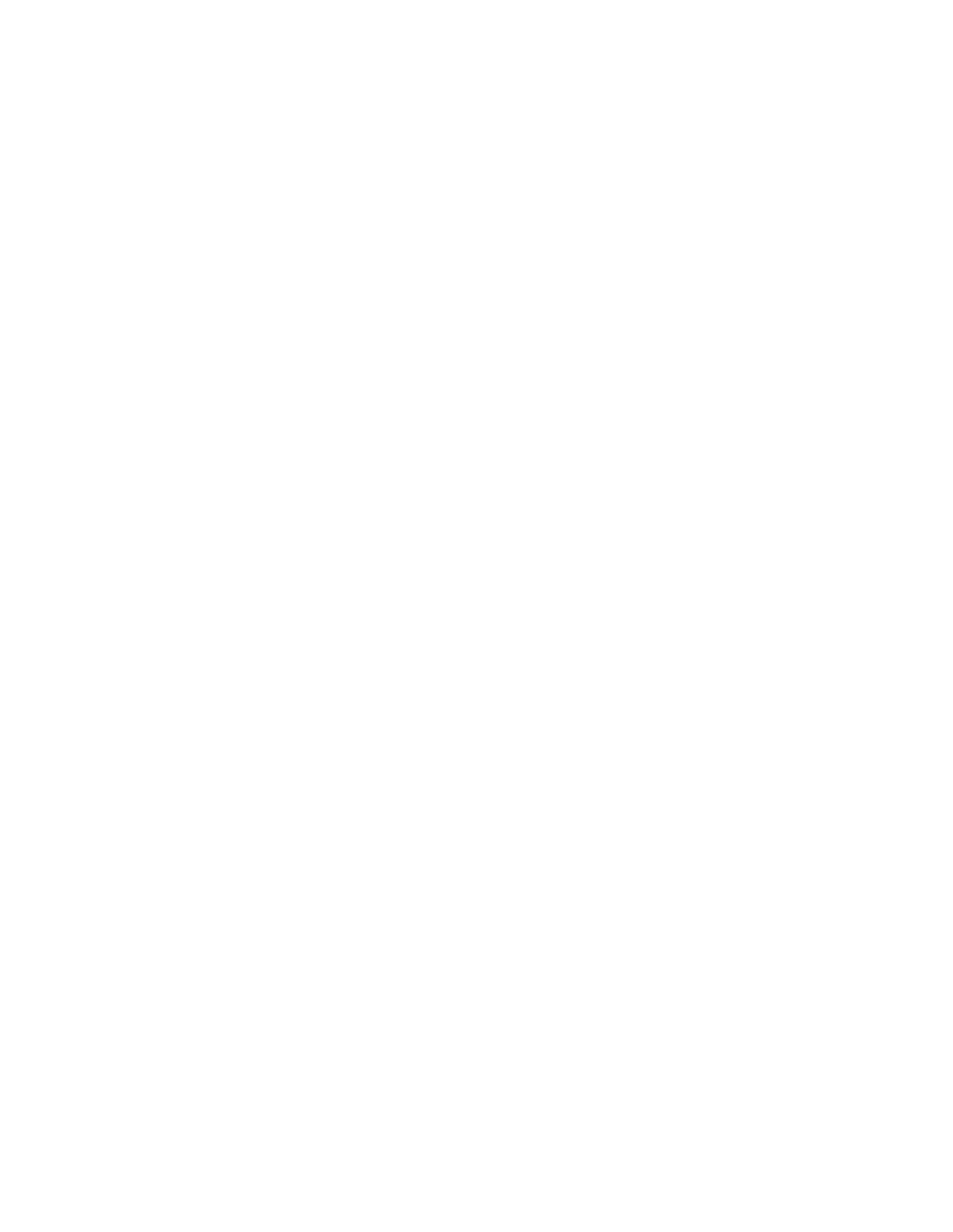#### **Nonresident Supplemental Tuition for Nonresident Students**

Students who have not been living in California, with intent to make it their permanent home for more than a year immediately before the residence determination date for each term in which they propose to attend the University, must pay nonresident supplemental tuition in addition to all other fees. The residence determination date is the day instruction begins at the last of the University of California campuses to open for the quarter, and for schools on the semester system, the day instruction begins for the semester. Nonresident students may apply for a change of classification to resident status once all the requirements below have been met. Notice the rigorous financial independence requirements.

#### **Rules Governing Residence**

The rules regarding residence for tuition purposes at the University of California are governed by the Standing Orders of the Regents of the University of California. Under these rules, adult citizens and certain classes of aliens can establish residence for tuition purposes. There are particular rules that apply to the residence classification of minors (see below).

#### **Establishing Residence for Tuition Purposes**

An adult student may establish residence for tuition purposes in California if a U.S. citizen; a permanent resident or other immigrant; or a nonimmigrant who is not precluded from establishing domicile in the U.S. Nonimmigrants who are not precluded from establishing domicile in the U.S. include those who hold valid visas of the following types: A, E, G-1, G-2, G-3, G-4, H-1, H-4, I, K, L, N-8, N-9, NATO-1 through -7, O-1, O-3, P-1, R, T, U, or V. To establish residence the student must be physically present in California for more than one year; and must have come here with the intent to make California home, as opposed to coming to this state to go to school. Physical presence within the state solely for educational purposes does not constitute the establishment of California residence, regardless of the length of stay.

#### **Establishing Intent to Become a California Resident**

The student must demonstrate intent to make California the home state by severing residential ties with the former state or country of residence and establishing those ties with California shortly after arrival. Evidence of intent must be dated one year before the term for which the student seeks residence classification. If these steps are delayed, the one-year duration will be extended until the student has demonstrated both presence and intent for one full year. The student's residence cannot be derived from a spouse or, as an adult, from one's parents. A single undergraduate student must also be financially independent if not dependent on a parent who meets University requirements for California residence for tuition purposes.

Indications of intent to make California the state of permanent residence can include registering to vote and voting in California elections; designating California as the permanent address on all school and employment records, including military records if in military service; obtaining a California Driver License or, if one does not drive, a California Identification Dard; obtaining California vehicle registration; paying California income taxes as a resident, including taxes on income earned outside California from the date residence is established; establishing a California residence in which one keeps one's own personal belongings; and licensing for professional practice in California. Absence of these indicia in other states or countries during any period for which residence is claimed can also serve as

an indication of intent. Documentary evidence is required, and all relevant indications are considered in determining classification. Intent will be questioned if the student returns to the former state or country of residence when the University is not in session.

#### **Requirements for Financial Independence (Undergraduates Only)**

A student must be financially independent if not dependent on a parent who meets University requirements for California residence for tuition purposes. To be considered financially independent, the student must meet one or more of the following criteria: be at least 24 years of age by December 31 of the academic year for which resident classification is sought; be a veteran of the U.S. Armed Forces or serving in the U.S Armed Forces; be a ward of the court or both parents are deceased; have legal dependents other than a spouse; be married or have a registered domestic partner as of the residence determination date of the term for which resident classification is sought; have been determined to be an unaccompanied youth who was homeless pursuant to federal financial aid rules; demonstrate self-sufficiency for one full year prior to the residence determination date of the term, and not have been claimed as an income tax exemption by parents or any other individual for one tax year immediately preceding the term for which resident classification is sought.

To verify financial independence (self support), the student must document income and verify not being claimed as an exemption by parents or anyone else for one tax year prior to the request for residence. The student also is required to present a budget showing the ability to self support with the funds claimed. Self support is defined as money earned through one's own employment or loans obtained on one's own credit, without a cosigner. A gift or loan from a parent, grandparent, or other family member does not constitute self support regardless of the terms. Bartering for free or reduced (i.e., below market value) room and board is considered financial assistance.

### **General Rules Applicable to Minors**

For unmarried minors (under age 18), the residence of the custodial parent with whom the student lives is considered to be the student's residence. If a parent is living, the student cannot change residence by one's own act, by appointment of a legal guardian, or by relinquishment of the parent's right of control. If the student does not live with either parent, one's residence is that of the parent with whom one last lived. Unless the student is a minor alien present in the U.S. under the terms of a nonimmigrant visa that precludes establishing domicile in the U.S., the student may establish one's own residence when both parents are deceased and a legal guardian has not been appointed. If California residence is derived from a parent, that parent must satisfy the one-year duration residence requirement.

#### **Exceptions to the Rules Applicable to Minors**

There are some exceptions to the rules applicable to minors. A minor to whom any of the following circumstances apply may be eligible to be classified a resident for tuition purposes; the minor: has a California resident parent and moves to California to begin residing with that parent prior to one's 18th birthday; parents were California residents who moved to another state, but the minor remained in California and enrolled in a California public postsecondary institution within one year of the parents' departure; self supports and has lived in California for more than one year immediately prior to the term; has been living with and been supported by an adult other than parents for more than two years immediately prior to the term.